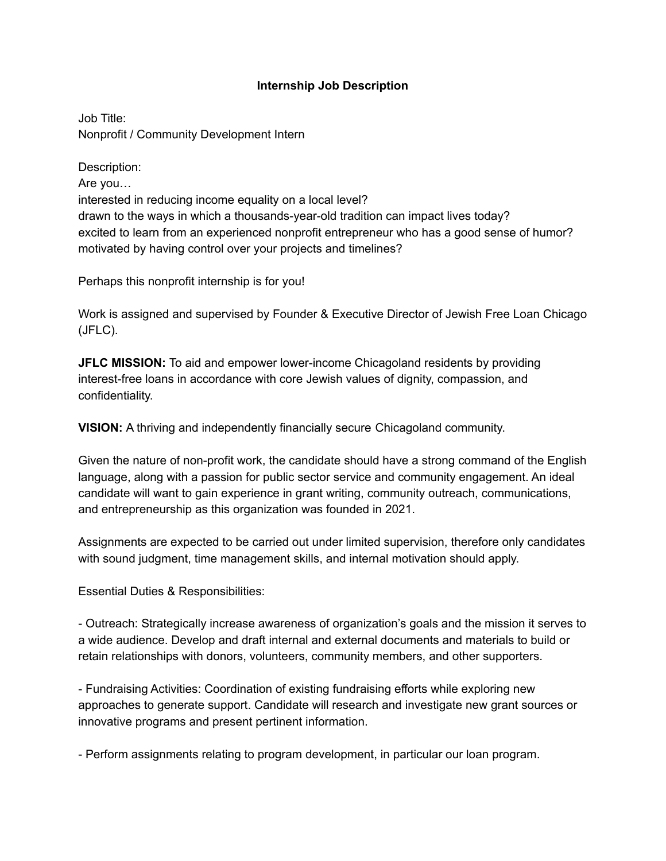## **Internship Job Description**

Job Title: Nonprofit / Community Development Intern

Description: Are you… interested in reducing income equality on a local level? drawn to the ways in which a thousands-year-old tradition can impact lives today? excited to learn from an experienced nonprofit entrepreneur who has a good sense of humor? motivated by having control over your projects and timelines?

Perhaps this nonprofit internship is for you!

Work is assigned and supervised by Founder & Executive Director of Jewish Free Loan Chicago (JFLC).

**JFLC MISSION:** To aid and empower lower-income Chicagoland residents by providing interest-free loans in accordance with core Jewish values of dignity, compassion, and confidentiality.

**VISION:** A thriving and independently financially secure Chicagoland community.

Given the nature of non-profit work, the candidate should have a strong command of the English language, along with a passion for public sector service and community engagement. An ideal candidate will want to gain experience in grant writing, community outreach, communications, and entrepreneurship as this organization was founded in 2021.

Assignments are expected to be carried out under limited supervision, therefore only candidates with sound judgment, time management skills, and internal motivation should apply.

Essential Duties & Responsibilities:

- Outreach: Strategically increase awareness of organization's goals and the mission it serves to a wide audience. Develop and draft internal and external documents and materials to build or retain relationships with donors, volunteers, community members, and other supporters.

- Fundraising Activities: Coordination of existing fundraising efforts while exploring new approaches to generate support. Candidate will research and investigate new grant sources or innovative programs and present pertinent information.

- Perform assignments relating to program development, in particular our loan program.